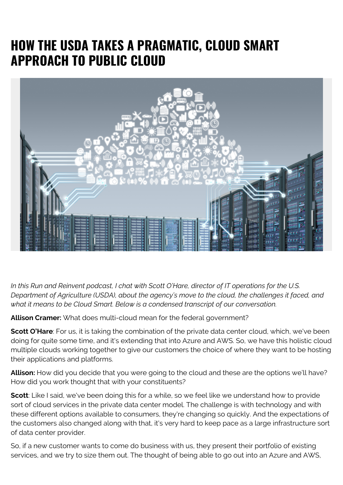## **HOW THE USDA TAKES A PRAGMATIC, CLOUD SMART APPROACH TO PUBLIC CLOUD**



*In this Run and Reinvent podcast, I chat with Scott O'Hare, director of IT operations for the U.S. Department of Agriculture (USDA), about the agency's move to the cloud, the challenges it faced, and what it means to be Cloud Smart. Below is a condensed transcript of our conversation.*

**Allison Cramer:** What does multi-cloud mean for the federal government?

**Scott O'Hare**: For us, it is taking the combination of the private data center cloud, which, we've been doing for quite some time, and it's extending that into Azure and AWS. So, we have this holistic cloud multiple clouds working together to give our customers the choice of where they want to be hosting their applications and platforms.

**Allison:** How did you decide that you were going to the cloud and these are the options we'll have? How did you work thought that with your constituents?

**Scott**: Like I said, we've been doing this for a while, so we feel like we understand how to provide sort of cloud services in the private data center model. The challenge is with technology and with these different options available to consumers, they're changing so quickly. And the expectations of the customers also changed along with that, it's very hard to keep pace as a large infrastructure sort of data center provider.

So, if a new customer wants to come do business with us, they present their portfolio of existing services, and we try to size them out. The thought of being able to go out into an Azure and AWS,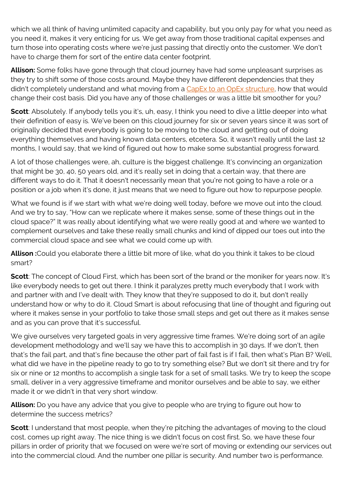which we all think of having unlimited capacity and capability, but you only pay for what you need as you need it, makes it very enticing for us. We get away from those traditional capital expenses and turn those into operating costs where we're just passing that directly onto the customer. We don't have to charge them for sort of the entire data center footprint.

**Allison:** Some folks have gone through that cloud journey have had some unpleasant surprises as they try to shift some of those costs around. Maybe they have different dependencies that they didn't completely understand and what moving from a [CapEx to an OpEx structure](https://blogs.bmc.com/blogs/capex-vs-opex/), how that would change their cost basis. Did you have any of those challenges or was a little bit smoother for you?

**Scott**: Absolutely. If anybody tells you it's, uh, easy, I think you need to dive a little deeper into what their definition of easy is. We've been on this cloud journey for six or seven years since it was sort of originally decided that everybody is going to be moving to the cloud and getting out of doing everything themselves and having known data centers, etcetera. So, it wasn't really until the last 12 months, I would say, that we kind of figured out how to make some substantial progress forward.

A lot of those challenges were, ah, culture is the biggest challenge. It's convincing an organization that might be 30, 40, 50 years old, and it's really set in doing that a certain way, that there are different ways to do it. That it doesn't necessarily mean that you're not going to have a role or a position or a job when it's done, it just means that we need to figure out how to repurpose people.

What we found is if we start with what we're doing well today, before we move out into the cloud. And we try to say, "How can we replicate where it makes sense, some of these things out in the cloud space?" It was really about identifying what we were really good at and where we wanted to complement ourselves and take these really small chunks and kind of dipped our toes out into the commercial cloud space and see what we could come up with.

**Allison :**Could you elaborate there a little bit more of like, what do you think it takes to be cloud smart?

**Scott**: The concept of Cloud First, which has been sort of the brand or the moniker for years now. It's like everybody needs to get out there. I think it paralyzes pretty much everybody that I work with and partner with and I've dealt with. They know that they're supposed to do it, but don't really understand how or why to do it. Cloud Smart is about refocusing that line of thought and figuring out where it makes sense in your portfolio to take those small steps and get out there as it makes sense and as you can prove that it's successful.

We give ourselves very targeted goals in very aggressive time frames. We're doing sort of an agile development methodology and we'll say we have this to accomplish in 30 days. If we don't, then that's the fail part, and that's fine because the other part of fail fast is if I fail, then what's Plan B? Well, what did we have in the pipeline ready to go to try something else? But we don't sit there and try for six or nine or 12 months to accomplish a single task for a set of small tasks. We try to keep the scope small, deliver in a very aggressive timeframe and monitor ourselves and be able to say, we either made it or we didn't in that very short window.

**Allison:** Do you have any advice that you give to people who are trying to figure out how to determine the success metrics?

**Scott**: I understand that most people, when they're pitching the advantages of moving to the cloud cost, comes up right away. The nice thing is we didn't focus on cost first. So, we have these four pillars in order of priority that we focused on were we're sort of moving or extending our services out into the commercial cloud. And the number one pillar is security. And number two is performance.